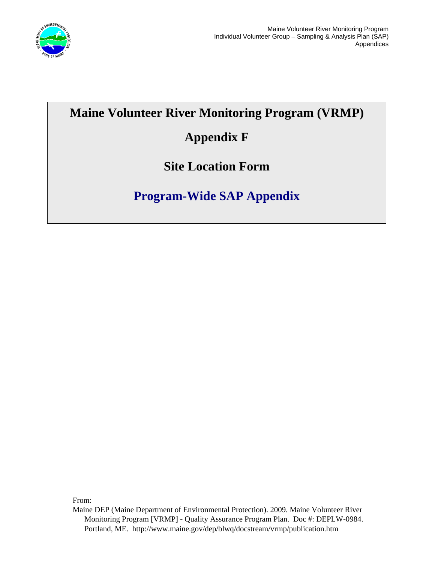

# **Maine Volunteer River Monitoring Program (VRMP)**

# **Appendix F**

**Site Location Form** 

# **Program-Wide SAP Appendix**

From:

Maine DEP (Maine Department of Environmental Protection). 2009. Maine Volunteer River Monitoring Program [VRMP] - Quality Assurance Program Plan. Doc #: DEPLW-0984. Portland, ME. http://www.maine.gov/dep/blwq/docstream/vrmp/publication.htm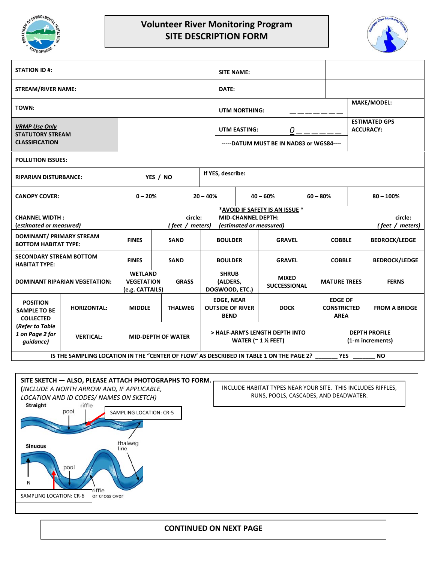

### **Volunteer River Monitoring Program SITE DESCRIPTION FORM**



| <b>STATION ID #:</b>                                                                                               |                    |                                                        |  |                |                                                                                        | <b>SITE NAME:</b>                                           |            |                                     |                                          |                                                     |             |                      |
|--------------------------------------------------------------------------------------------------------------------|--------------------|--------------------------------------------------------|--|----------------|----------------------------------------------------------------------------------------|-------------------------------------------------------------|------------|-------------------------------------|------------------------------------------|-----------------------------------------------------|-------------|----------------------|
| <b>STREAM/RIVER NAME:</b>                                                                                          |                    |                                                        |  |                |                                                                                        | DATE:                                                       |            |                                     |                                          |                                                     |             |                      |
| TOWN:                                                                                                              |                    |                                                        |  |                |                                                                                        | <b>UTM NORTHING:</b>                                        |            |                                     |                                          |                                                     |             | <b>MAKE/MODEL:</b>   |
| <b>VRMP Use Only</b><br><b>STATUTORY STREAM</b><br><b>CLASSIFICATION</b>                                           |                    |                                                        |  |                |                                                                                        | UTM EASTING:<br>-----DATUM MUST BE IN NAD83 or WGS84----    |            | 0                                   |                                          | <b>ESTIMATED GPS</b><br><b>ACCURACY:</b>            |             |                      |
|                                                                                                                    |                    |                                                        |  |                |                                                                                        |                                                             |            |                                     |                                          |                                                     |             |                      |
| <b>POLLUTION ISSUES:</b>                                                                                           |                    |                                                        |  |                |                                                                                        |                                                             |            |                                     |                                          |                                                     |             |                      |
| <b>RIPARIAN DISTURBANCE:</b>                                                                                       |                    | YES / NO                                               |  |                |                                                                                        | If YES, describe:                                           |            |                                     |                                          |                                                     |             |                      |
| <b>CANOPY COVER:</b>                                                                                               |                    | $0 - 20%$                                              |  | $20 - 40%$     |                                                                                        |                                                             | $40 - 60%$ |                                     | $60 - 80%$                               |                                                     | $80 - 100%$ |                      |
| <b>CHANNEL WIDTH:</b><br>(estimated or measured)                                                                   |                    | circle:<br>(feet / meters)                             |  |                | *AVOID IF SAFETY IS AN ISSUE *<br><b>MID-CHANNEL DEPTH:</b><br>(estimated or measured) |                                                             |            | circle:<br>(feet / meters)          |                                          |                                                     |             |                      |
| <b>DOMINANT/ PRIMARY STREAM</b><br><b>BOTTOM HABITAT TYPE:</b>                                                     |                    | <b>FINES</b>                                           |  | <b>SAND</b>    |                                                                                        | <b>BOULDER</b>                                              |            | <b>GRAVEL</b>                       |                                          | <b>COBBLE</b>                                       |             | <b>BEDROCK/LEDGE</b> |
| <b>SECONDARY STREAM BOTTOM</b><br><b>HABITAT TYPE:</b>                                                             |                    | <b>FINES</b>                                           |  | <b>SAND</b>    |                                                                                        | <b>BOULDER</b>                                              |            | <b>GRAVEL</b>                       |                                          | <b>COBBLE</b>                                       |             | <b>BEDROCK/LEDGE</b> |
| <b>DOMINANT RIPARIAN VEGETATION:</b>                                                                               |                    | <b>WETLAND</b><br><b>VEGETATION</b><br>(e.g. CATTAILS) |  | <b>GRASS</b>   | <b>SHRUB</b><br>(ALDERS,<br>DOGWOOD, ETC.)                                             |                                                             |            | <b>MIXED</b><br><b>SUCCESSIONAL</b> |                                          | <b>MATURE TREES</b>                                 |             | <b>FERNS</b>         |
| <b>POSITION</b><br><b>SAMPLE TO BE</b><br><b>COLLECTED</b>                                                         | <b>HORIZONTAL:</b> | <b>MIDDLE</b>                                          |  | <b>THALWEG</b> |                                                                                        | <b>EDGE, NEAR</b><br><b>OUTSIDE OF RIVER</b><br><b>BEND</b> |            | <b>DOCK</b>                         |                                          | <b>EDGE OF</b><br><b>CONSTRICTED</b><br><b>AREA</b> |             | <b>FROM A BRIDGE</b> |
| (Refer to Table<br>1 on Page 2 for<br>quidance)                                                                    | <b>VERTICAL:</b>   | <b>MID-DEPTH OF WATER</b>                              |  |                | > HALF-ARM'S LENGTH DEPTH INTO<br>WATER ( $\approx$ 1 $\frac{1}{2}$ FEET)              |                                                             |            |                                     | <b>DEPTH PROFILE</b><br>(1-m increments) |                                                     |             |                      |
| <b>NO</b><br>IS THE SAMPLING LOCATION IN THE "CENTER OF FLOW" AS DESCRIBED IN TABLE 1 ON THE PAGE 2?<br><b>YES</b> |                    |                                                        |  |                |                                                                                        |                                                             |            |                                     |                                          |                                                     |             |                      |



#### **CONTINUED ON NEXT PAGE**